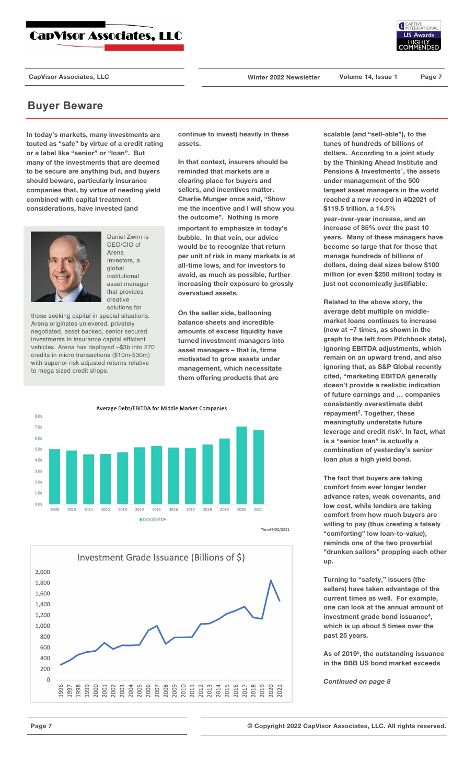# **Buyer Beware**

**In today's markets, many investments are touted as "safe" by virtue of a credit rating or a label like "senior" or "loan". But many of the investments that are deemed to be secure are anything but, and buyers should beware, particularly insurance companies that, by virtue of needing yield combined with capital treatment considerations, have invested (and** 



Daniel Zwirn is CEO/CIO of Arena Investors, a global institutional asset manager that provides creative solutions for

those seeking capital in special situations. Arena originates unlevered, privately negotiated, asset backed, senior secured investments in insurance capital efficient vehicles. Arena has deployed ~\$3b into 270 credits in micro transactions (\$10m-\$30m) with superior risk adjusted returns relative to mega sized credit shops.

**continue to invest) heavily in these assets.** 

**In that context, insurers should be reminded that markets are a clearing place for buyers and sellers, and incentives matter. Charlie Munger once said, "Show me the incentive and I will show you the outcome". Nothing is more important to emphasize in today's bubble. In that vein, our advice would be to recognize that return per unit of risk in many markets is at all-time lows, and for investors to avoid, as much as possible, further increasing their exposure to grossly overvalued assets.**

**On the seller side, ballooning balance sheets and incredible amounts of excess liquidity have turned investment managers into asset managers – that is, firms motivated to grow assets under management, which necessitate them offering products that are** 

Average Debt/EBITDA for Middle Market Companies



\*As of 9/30/2021



**scalable (and "sell-able"), to the tunes of hundreds of billions of dollars. According to a joint study by the Thinking Ahead Institute and Pensions & Investments<sup>1</sup> , the assets under management of the 500 largest asset managers in the world reached a new record in 4Q2021 of \$119.5 trillion, a 14.5%**

**year-over-year increase, and an increase of 85% over the past 10 years. Many of these managers have become so large that for those that manage hundreds of billions of dollars, doing deal sizes below \$100 million (or even \$250 million) today is just not economically justifiable.**

**Related to the above story, the average debt multiple on middlemarket loans continues to increase (now at ~7 times, as shown in the graph to the left from Pitchbook data), ignoring EBITDA adjustments, which remain on an upward trend, and also ignoring that, as S&P Global recently cited, "marketing EBITDA generally doesn't provide a realistic indication of future earnings and … companies consistently overestimate debt repayment<sup>2</sup> . Together, these meaningfully understate future leverage and credit risk<sup>3</sup> . In fact, what is a "senior loan" is actually a c[ombination of yesterday's senior](https://www.google.com/search?q=vix&oq=vix&aqs=chrome..69i57j35i39l2j46i199i291i433i512j46i199i433i465i512j69i60l2j69i61.888j0j4&sourceid=chrome&ie=UTF-8)  loan plus a high yield bond.**

**The fact that buyers are taking [comfort from ever longer lender](https://www.cmegroup.com/trading/interest-rates/countdown-to-fomc.html)  advance rates, weak covenants, and l[ow cost, while lenders are taking](https://www.crisisgroup.org/global/10-conflicts-watch-2022)  comfort from how much buyers are willing to pay (thus creating a falsely "comforting" low loan-to-value), reminds one of the two proverbial "drunken sailors" propping each other up.** 

**Turning to "safety," issuers (the sellers) have taken advantage of the current times as well. For example, one can look at the annual amount of investment grade bond issuance<sup>4</sup> , which is up about 5 times over the past 25 years.**

**As of 2019<sup>5</sup> , the outstanding issuance in the BBB US bond market exceeds** 

*Continued on page 8*



**CapVisor Associates, LLC Winter 2022 Newsletter Volume 14, Issue 1**

**Page 7**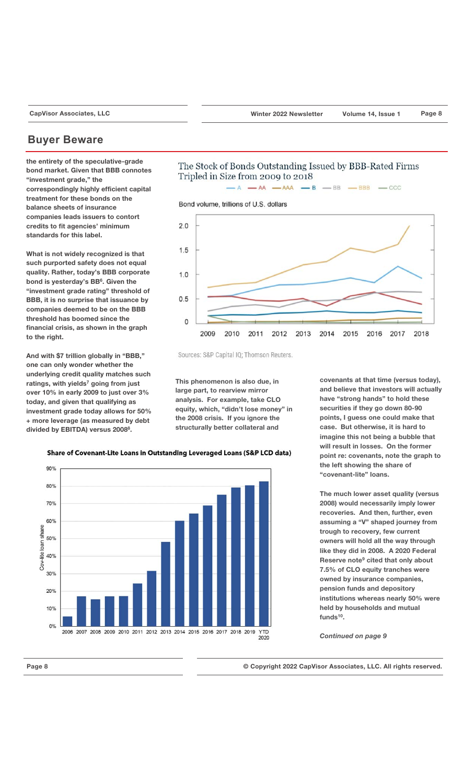**CapVisor Associates, LLC Winter 2022 Newsletter Volume 14, Issue 1 Page 8**

# **Buyer Beware**

**the entirety of the speculative-grade bond market. Given that BBB connotes "investment grade," the correspondingly highly efficient capital treatment for these bonds on the balance sheets of insurance companies leads issuers to contort credits to fit agencies' minimum standards for this label.**

**What is not widely recognized is that such purported safety does not equal quality. Rather, today's BBB corporate bond is yesterday's BB<sup>6</sup> . Given the "investment grade rating" threshold of BBB, it is no surprise that issuance by companies deemed to be on the BBB threshold has boomed since the financial crisis, as shown in the graph to the right.**

**And with \$7 trillion globally in "BBB," one can only wonder whether the underlying credit quality matches such ratings, with yields<sup>7</sup> going from just over 10% in early 2009 to just over 3% today, and given that qualifying as investment grade today allows for 50% + more leverage (as measured by debt divided by EBITDA) versus 2008<sup>8</sup> .**



 $- A \longrightarrow AA \longrightarrow AA \longrightarrow B \longrightarrow BB \longrightarrow BBB \longrightarrow CCC$ 





Sources: S&P Capital IQ; Thomson Reuters.

**This phenomenon is also due, in large part, to rearview mirror analysis. For example, take CLO equity, which, "didn't lose money" in the 2008 crisis. If you ignore the structurally better collateral and** 

**covenants at that time (versus today), and believe that investors will actually have "strong hands" to hold these securities if they go down 80-90 points, I guess one could make that case. But otherwise, it is hard to imagine this not being a bubble that will result in losses. On the former point re: covenants, note the graph to the left showing the share of "covenant-lite" loans.**

**The much lower asset quality (versus 2008) would necessarily imply lower recoveries. And then, further, even assuming a "V" shaped journey from trough to recovery, few current owners will hold all the way through like they did in 2008. A 2020 Federal Reserve note<sup>9</sup> cited that only about 7.5% of CLO equity tranches were owned by insurance companies, pension funds and depository institutions whereas nearly 50% were held by households and mutual funds<sup>10</sup> .**

*Continued on page 9*

### Share of Covenant-Lite Loans in Outstanding Leveraged Loans (S&P LCD data)



**Page 8 © Copyright 2022 CapVisor Associates, LLC. All rights reserved.**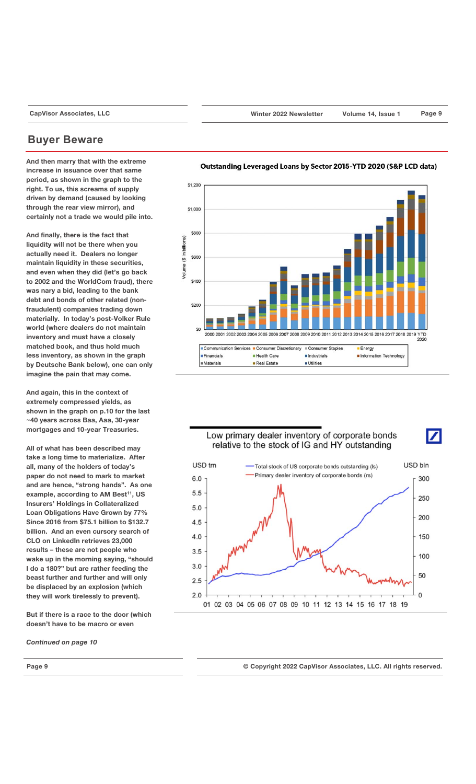## **Buyer Beware**

**And then marry that with the extreme increase in issuance over that same period, as shown in the graph to the right. To us, this screams of supply driven by demand (caused by looking through the rear view mirror), and certainly not a trade we would pile into.** 

**And finally, there is the fact that liquidity will not be there when you actually need it. Dealers no longer maintain liquidity in these securities, and even when they did (let's go back to 2002 and the WorldCom fraud), there was nary a bid, leading to the bank debt and bonds of other related (nonfraudulent) companies trading down materially. In today's post-Volker Rule world (where dealers do not maintain inventory and must have a closely matched book, and thus hold much less inventory, as shown in the graph by Deutsche Bank below), one can only imagine the pain that may come.**

**And again, this in the context of extremely compressed yields, as shown in the graph on p.10 for the last ~40 years across Baa, Aaa, 30-year mortgages and 10-year Treasuries.**

**All of what has been described may take a long time to materialize. After all, many of the holders of today's paper do not need to mark to market and are hence, "strong hands". As one example, according to AM Best<sup>11</sup>, US Insurers' Holdings in Collateralized Loan Obligations Have Grown by 77% Since 2016 from \$75.1 billion to \$132.7 billion. And an even cursory search of CLO on LinkedIn retrieves 23,000 results – these are not people who wake up in the morning saying, "should I do a 180?" but are rather feeding the beast further and further and will only be displaced by an explosion (which they will work tirelessly to prevent).**

**But if there is a race to the door (which doesn't have to be macro or even**

*Continued on page 10*







**Page 9 © Copyright 2022 CapVisor Associates, LLC. All rights reserved.**